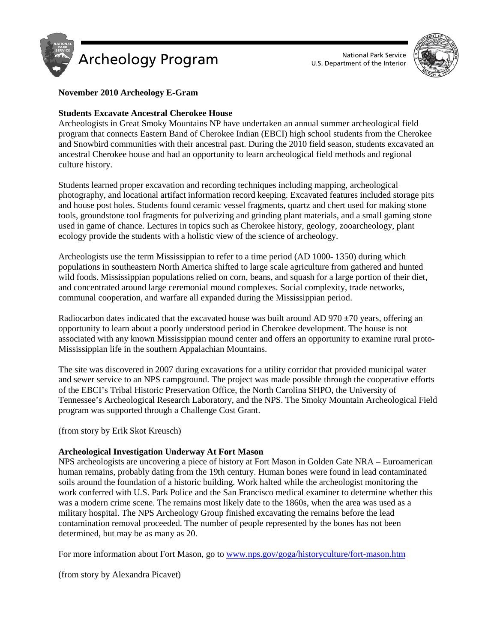



# **November 2010 Archeology E-Gram**

### **Students Excavate Ancestral Cherokee House**

Archeologists in Great Smoky Mountains NP have undertaken an annual summer archeological field program that connects Eastern Band of Cherokee Indian (EBCI) high school students from the Cherokee and Snowbird communities with their ancestral past. During the 2010 field season, students excavated an ancestral Cherokee house and had an opportunity to learn archeological field methods and regional culture history.

Students learned proper excavation and recording techniques including mapping, archeological photography, and locational artifact information record keeping. Excavated features included storage pits and house post holes. Students found ceramic vessel fragments, quartz and chert used for making stone tools, groundstone tool fragments for pulverizing and grinding plant materials, and a small gaming stone used in game of chance. Lectures in topics such as Cherokee history, geology, zooarcheology, plant ecology provide the students with a holistic view of the science of archeology.

Archeologists use the term Mississippian to refer to a time period (AD 1000- 1350) during which populations in southeastern North America shifted to large scale agriculture from gathered and hunted wild foods. Mississippian populations relied on corn, beans, and squash for a large portion of their diet, and concentrated around large ceremonial mound complexes. Social complexity, trade networks, communal cooperation, and warfare all expanded during the Mississippian period.

Radiocarbon dates indicated that the excavated house was built around AD 970  $\pm$ 70 years, offering an opportunity to learn about a poorly understood period in Cherokee development. The house is not associated with any known Mississippian mound center and offers an opportunity to examine rural proto-Mississippian life in the southern Appalachian Mountains.

The site was discovered in 2007 during excavations for a utility corridor that provided municipal water and sewer service to an NPS campground. The project was made possible through the cooperative efforts of the EBCI's Tribal Historic Preservation Office, the North Carolina SHPO, the University of Tennessee's Archeological Research Laboratory, and the NPS. The Smoky Mountain Archeological Field program was supported through a Challenge Cost Grant.

(from story by Erik Skot Kreusch)

# **Archeological Investigation Underway At Fort Mason**

NPS archeologists are uncovering a piece of history at Fort Mason in Golden Gate NRA – Euroamerican human remains, probably dating from the 19th century. Human bones were found in lead contaminated soils around the foundation of a historic building. Work halted while the archeologist monitoring the work conferred with U.S. Park Police and the San Francisco medical examiner to determine whether this was a modern crime scene. The remains most likely date to the 1860s, when the area was used as a military hospital. The NPS Archeology Group finished excavating the remains before the lead contamination removal proceeded. The number of people represented by the bones has not been determined, but may be as many as 20.

For more information about Fort Mason, go to [www.nps.gov/goga/historyculture/fort-mason.htm](http://www.nps.gov/goga/historyculture/fort-mason.htm)

(from story by Alexandra Picavet)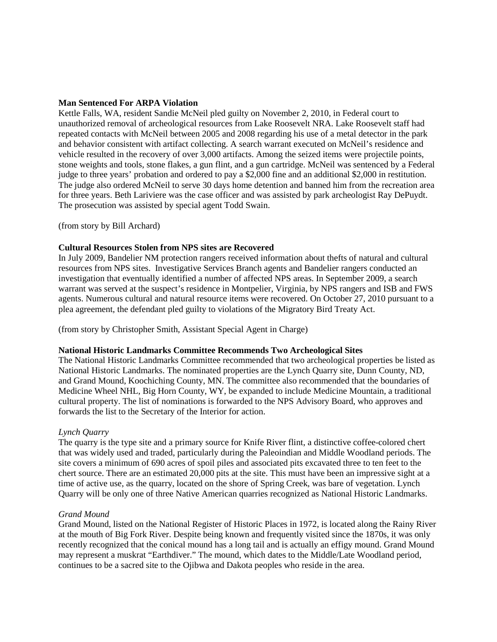### **Man Sentenced For ARPA Violation**

Kettle Falls, WA, resident Sandie McNeil pled guilty on November 2, 2010, in Federal court to unauthorized removal of archeological resources from Lake Roosevelt NRA. Lake Roosevelt staff had repeated contacts with McNeil between 2005 and 2008 regarding his use of a metal detector in the park and behavior consistent with artifact collecting. A search warrant executed on McNeil's residence and vehicle resulted in the recovery of over 3,000 artifacts. Among the seized items were projectile points, stone weights and tools, stone flakes, a gun flint, and a gun cartridge. McNeil was sentenced by a Federal judge to three years' probation and ordered to pay a \$2,000 fine and an additional \$2,000 in restitution. The judge also ordered McNeil to serve 30 days home detention and banned him from the recreation area for three years. Beth Lariviere was the case officer and was assisted by park archeologist Ray DePuydt. The prosecution was assisted by special agent Todd Swain.

(from story by Bill Archard)

### **Cultural Resources Stolen from NPS sites are Recovered**

In July 2009, Bandelier NM protection rangers received information about thefts of natural and cultural resources from NPS sites. Investigative Services Branch agents and Bandelier rangers conducted an investigation that eventually identified a number of affected NPS areas. In September 2009, a search warrant was served at the suspect's residence in Montpelier, Virginia, by NPS rangers and ISB and FWS agents. Numerous cultural and natural resource items were recovered. On October 27, 2010 pursuant to a plea agreement, the defendant pled guilty to violations of the Migratory Bird Treaty Act.

(from story by Christopher Smith, Assistant Special Agent in Charge)

#### **National Historic Landmarks Committee Recommends Two Archeological Sites**

The National Historic Landmarks Committee recommended that two archeological properties be listed as National Historic Landmarks. The nominated properties are the Lynch Quarry site, Dunn County, ND, and Grand Mound, Koochiching County, MN. The committee also recommended that the boundaries of Medicine Wheel NHL, Big Horn County, WY, be expanded to include Medicine Mountain, a traditional cultural property. The list of nominations is forwarded to the NPS Advisory Board, who approves and forwards the list to the Secretary of the Interior for action.

# *Lynch Quarry*

The quarry is the type site and a primary source for Knife River flint, a distinctive coffee-colored chert that was widely used and traded, particularly during the Paleoindian and Middle Woodland periods. The site covers a minimum of 690 acres of spoil piles and associated pits excavated three to ten feet to the chert source. There are an estimated 20,000 pits at the site. This must have been an impressive sight at a time of active use, as the quarry, located on the shore of Spring Creek, was bare of vegetation. Lynch Quarry will be only one of three Native American quarries recognized as National Historic Landmarks.

#### *Grand Mound*

Grand Mound, listed on the National Register of Historic Places in 1972, is located along the Rainy River at the mouth of Big Fork River. Despite being known and frequently visited since the 1870s, it was only recently recognized that the conical mound has a long tail and is actually an effigy mound. Grand Mound may represent a muskrat "Earthdiver." The mound, which dates to the Middle/Late Woodland period, continues to be a sacred site to the Ojibwa and Dakota peoples who reside in the area.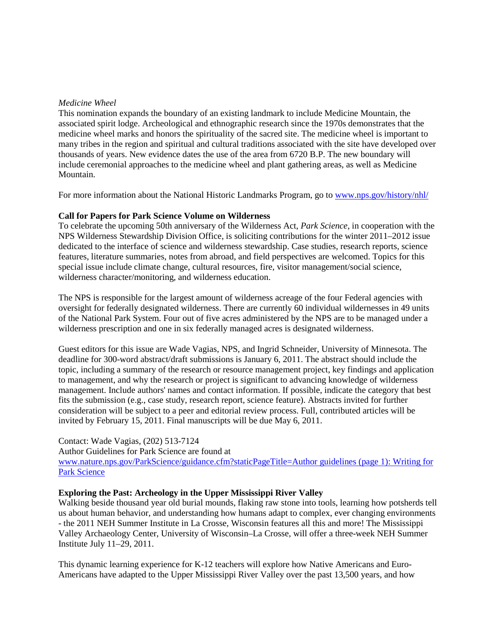### *Medicine Wheel*

This nomination expands the boundary of an existing landmark to include Medicine Mountain, the associated spirit lodge. Archeological and ethnographic research since the 1970s demonstrates that the medicine wheel marks and honors the spirituality of the sacred site. The medicine wheel is important to many tribes in the region and spiritual and cultural traditions associated with the site have developed over thousands of years. New evidence dates the use of the area from 6720 B.P. The new boundary will include ceremonial approaches to the medicine wheel and plant gathering areas, as well as Medicine Mountain.

For more information about the National Historic Landmarks Program, go to [www.nps.gov/history/nhl/](http://www.nps.gov/history/nhl/)

#### **Call for Papers for Park Science Volume on Wilderness**

To celebrate the upcoming 50th anniversary of the Wilderness Act, *Park Science*, in cooperation with the NPS Wilderness Stewardship Division Office, is soliciting contributions for the winter 2011–2012 issue dedicated to the interface of science and wilderness stewardship. Case studies, research reports, science features, literature summaries, notes from abroad, and field perspectives are welcomed. Topics for this special issue include climate change, cultural resources, fire, visitor management/social science, wilderness character/monitoring, and wilderness education.

The NPS is responsible for the largest amount of wilderness acreage of the four Federal agencies with oversight for federally designated wilderness. There are currently 60 individual wildernesses in 49 units of the National Park System. Four out of five acres administered by the NPS are to be managed under a wilderness prescription and one in six federally managed acres is designated wilderness.

Guest editors for this issue are Wade Vagias, NPS, and Ingrid Schneider, University of Minnesota. The deadline for 300-word abstract/draft submissions is January 6, 2011. The abstract should include the topic, including a summary of the research or resource management project, key findings and application to management, and why the research or project is significant to advancing knowledge of wilderness management. Include authors' names and contact information. If possible, indicate the category that best fits the submission (e.g., case study, research report, science feature). Abstracts invited for further consideration will be subject to a peer and editorial review process. Full, contributed articles will be invited by February 15, 2011. Final manuscripts will be due May 6, 2011.

Contact: Wade Vagias, (202) 513-7124 Author Guidelines for Park Science are found at [www.nature.nps.gov/ParkScience/guidance.cfm?staticPageTitle=Author guidelines \(page 1\): Writing for](www.nature.nps.gov/ParkScience/guidance.cfm?staticPageTitle=Author%20guidelines%20(page%201):%20Writing%20for%20Park%20Science)  [Park Science](www.nature.nps.gov/ParkScience/guidance.cfm?staticPageTitle=Author%20guidelines%20(page%201):%20Writing%20for%20Park%20Science)

#### **Exploring the Past: Archeology in the Upper Mississippi River Valley**

Walking beside thousand year old burial mounds, flaking raw stone into tools, learning how potsherds tell us about human behavior, and understanding how humans adapt to complex, ever changing environments - the 2011 NEH Summer Institute in La Crosse, Wisconsin features all this and more! The Mississippi Valley Archaeology Center, University of Wisconsin–La Crosse, will offer a three-week NEH Summer Institute July 11–29, 2011.

This dynamic learning experience for K-12 teachers will explore how Native Americans and Euro-Americans have adapted to the Upper Mississippi River Valley over the past 13,500 years, and how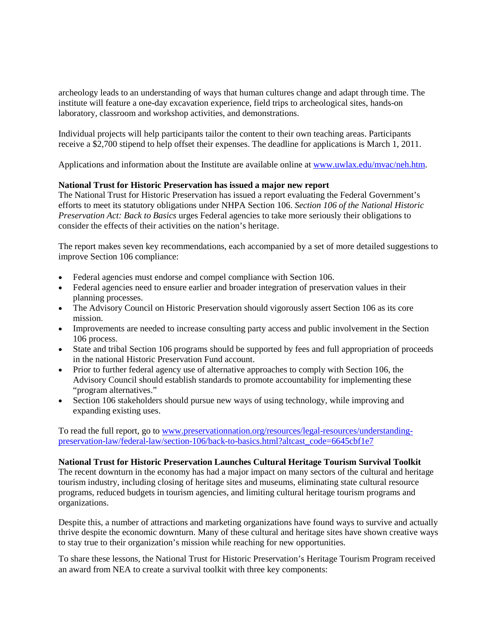archeology leads to an understanding of ways that human cultures change and adapt through time. The institute will feature a one-day excavation experience, field trips to archeological sites, hands-on laboratory, classroom and workshop activities, and demonstrations.

Individual projects will help participants tailor the content to their own teaching areas. Participants receive a \$2,700 stipend to help offset their expenses. The deadline for applications is March 1, 2011.

Applications and information about the Institute are available online at [www.uwlax.edu/mvac/neh.htm.](http://www.uwlax.edu/mvac/neh.htm)

# **National Trust for Historic Preservation has issued a major new report**

The National Trust for Historic Preservation has issued a report evaluating the Federal Government's efforts to meet its statutory obligations under NHPA Section 106. *Section 106 of the National Historic Preservation Act: Back to Basics* urges Federal agencies to take more seriously their obligations to consider the effects of their activities on the nation's heritage.

The report makes seven key recommendations, each accompanied by a set of more detailed suggestions to improve Section 106 compliance:

- Federal agencies must endorse and compel compliance with Section 106.
- Federal agencies need to ensure earlier and broader integration of preservation values in their planning processes.
- The Advisory Council on Historic Preservation should vigorously assert Section 106 as its core mission.
- Improvements are needed to increase consulting party access and public involvement in the Section 106 process.
- State and tribal Section 106 programs should be supported by fees and full appropriation of proceeds in the national Historic Preservation Fund account.
- Prior to further federal agency use of alternative approaches to comply with Section 106, the Advisory Council should establish standards to promote accountability for implementing these "program alternatives."
- Section 106 stakeholders should pursue new ways of using technology, while improving and expanding existing uses.

To read the full report, go to [www.preservationnation.org/resources/legal-resources/understanding](http://www.preservationnation.org/resources/legal-resources/understanding-preservation-law/federal-law/section-106/back-to-basics.html?altcast_code=6645cbf1e7)[preservation-law/federal-law/section-106/back-to-basics.html?altcast\\_code=6645cbf1e7](http://www.preservationnation.org/resources/legal-resources/understanding-preservation-law/federal-law/section-106/back-to-basics.html?altcast_code=6645cbf1e7)

#### **National Trust for Historic Preservation Launches Cultural Heritage Tourism Survival Toolkit**

The recent downturn in the economy has had a major impact on many sectors of the cultural and heritage tourism industry, including closing of heritage sites and museums, eliminating state cultural resource programs, reduced budgets in tourism agencies, and limiting cultural heritage tourism programs and organizations.

Despite this, a number of attractions and marketing organizations have found ways to survive and actually thrive despite the economic downturn. Many of these cultural and heritage sites have shown creative ways to stay true to their organization's mission while reaching for new opportunities.

To share these lessons, the National Trust for Historic Preservation's Heritage Tourism Program received an award from NEA to create a survival toolkit with three key components: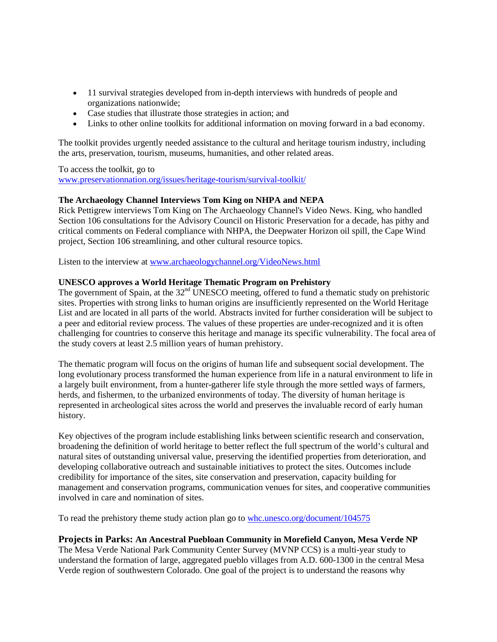- 11 survival strategies developed from in-depth interviews with hundreds of people and organizations nationwide;
- Case studies that illustrate those strategies in action; and
- Links to other online toolkits for additional information on moving forward in a bad economy.

The toolkit provides urgently needed assistance to the cultural and heritage tourism industry, including the arts, preservation, tourism, museums, humanities, and other related areas.

To access the toolkit, go to [www.preservationnation.org/issues/heritage-tourism/survival-toolkit/](http://www.preservationnation.org/issues/heritage-tourism/survival-toolkit/)

# **The Archaeology Channel Interviews Tom King on NHPA and NEPA**

Rick Pettigrew interviews Tom King on The Archaeology Channel's Video News. King, who handled Section 106 consultations for the Advisory Council on Historic Preservation for a decade, has pithy and critical comments on Federal compliance with NHPA, the Deepwater Horizon oil spill, the Cape Wind project, Section 106 streamlining, and other cultural resource topics.

Listen to the interview a[t www.archaeologychannel.org/VideoNews.html](http://www.archaeologychannel.org/VideoNews.html)

# **UNESCO approves a World Heritage Thematic Program on Prehistory**

The government of Spain, at the 32<sup>nd</sup> UNESCO meeting, offered to fund a thematic study on prehistoric sites. Properties with strong links to human origins are insufficiently represented on the World Heritage List and are located in all parts of the world. Abstracts invited for further consideration will be subject to a peer and editorial review process. The values of these properties are under-recognized and it is often challenging for countries to conserve this heritage and manage its specific vulnerability. The focal area of the study covers at least 2.5 million years of human prehistory.

The thematic program will focus on the origins of human life and subsequent social development. The long evolutionary process transformed the human experience from life in a natural environment to life in a largely built environment, from a hunter-gatherer life style through the more settled ways of farmers, herds, and fishermen, to the urbanized environments of today. The diversity of human heritage is represented in archeological sites across the world and preserves the invaluable record of early human history.

Key objectives of the program include establishing links between scientific research and conservation, broadening the definition of world heritage to better reflect the full spectrum of the world's cultural and natural sites of outstanding universal value, preserving the identified properties from deterioration, and developing collaborative outreach and sustainable initiatives to protect the sites. Outcomes include credibility for importance of the sites, site conservation and preservation, capacity building for management and conservation programs, communication venues for sites, and cooperative communities involved in care and nomination of sites.

To read the prehistory theme study action plan go to whc.unesco.org/document/104575

# **Projects in Parks: An Ancestral Puebloan Community in Morefield Canyon, Mesa Verde NP**

The Mesa Verde National Park Community Center Survey (MVNP CCS) is a multi-year study to understand the formation of large, aggregated pueblo villages from A.D. 600-1300 in the central Mesa Verde region of southwestern Colorado. One goal of the project is to understand the reasons why